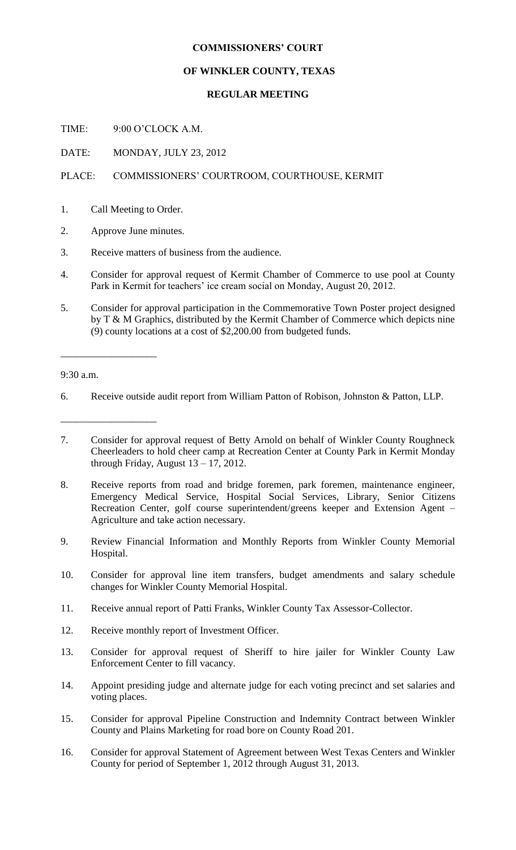## **COMMISSIONERS' COURT**

## **OF WINKLER COUNTY, TEXAS**

## **REGULAR MEETING**

TIME: 9:00 O'CLOCK A.M.

DATE: MONDAY, JULY 23, 2012

## PLACE: COMMISSIONERS' COURTROOM, COURTHOUSE, KERMIT

- 1. Call Meeting to Order.
- 2. Approve June minutes.
- 3. Receive matters of business from the audience.
- 4. Consider for approval request of Kermit Chamber of Commerce to use pool at County Park in Kermit for teachers' ice cream social on Monday, August 20, 2012.
- 5. Consider for approval participation in the Commemorative Town Poster project designed by T & M Graphics, distributed by the Kermit Chamber of Commerce which depicts nine (9) county locations at a cost of \$2,200.00 from budgeted funds.

9:30 a.m.

\_\_\_\_\_\_\_\_\_\_\_\_\_\_\_\_\_\_\_

\_\_\_\_\_\_\_\_\_\_\_\_\_\_\_\_\_\_\_

- 6. Receive outside audit report from William Patton of Robison, Johnston & Patton, LLP.
- 7. Consider for approval request of Betty Arnold on behalf of Winkler County Roughneck Cheerleaders to hold cheer camp at Recreation Center at County Park in Kermit Monday through Friday, August  $13 - 17$ , 2012.
- 8. Receive reports from road and bridge foremen, park foremen, maintenance engineer, Emergency Medical Service, Hospital Social Services, Library, Senior Citizens Recreation Center, golf course superintendent/greens keeper and Extension Agent – Agriculture and take action necessary.
- 9. Review Financial Information and Monthly Reports from Winkler County Memorial Hospital.
- 10. Consider for approval line item transfers, budget amendments and salary schedule changes for Winkler County Memorial Hospital.
- 11. Receive annual report of Patti Franks, Winkler County Tax Assessor-Collector.
- 12. Receive monthly report of Investment Officer.
- 13. Consider for approval request of Sheriff to hire jailer for Winkler County Law Enforcement Center to fill vacancy.
- 14. Appoint presiding judge and alternate judge for each voting precinct and set salaries and voting places.
- 15. Consider for approval Pipeline Construction and Indemnity Contract between Winkler County and Plains Marketing for road bore on County Road 201.
- 16. Consider for approval Statement of Agreement between West Texas Centers and Winkler County for period of September 1, 2012 through August 31, 2013.